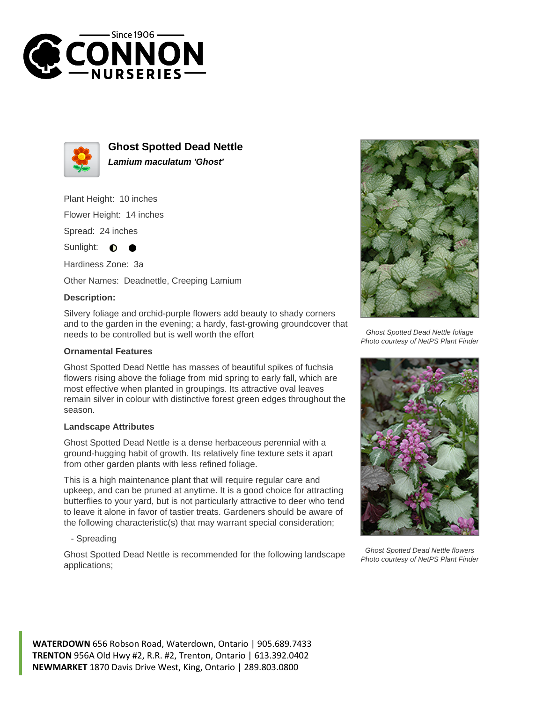



**Ghost Spotted Dead Nettle Lamium maculatum 'Ghost'**

Plant Height: 10 inches

Flower Height: 14 inches

Spread: 24 inches

Sunlight: **O** 

Hardiness Zone: 3a

Other Names: Deadnettle, Creeping Lamium

## **Description:**

Silvery foliage and orchid-purple flowers add beauty to shady corners and to the garden in the evening; a hardy, fast-growing groundcover that needs to be controlled but is well worth the effort

## **Ornamental Features**

Ghost Spotted Dead Nettle has masses of beautiful spikes of fuchsia flowers rising above the foliage from mid spring to early fall, which are most effective when planted in groupings. Its attractive oval leaves remain silver in colour with distinctive forest green edges throughout the season.

## **Landscape Attributes**

Ghost Spotted Dead Nettle is a dense herbaceous perennial with a ground-hugging habit of growth. Its relatively fine texture sets it apart from other garden plants with less refined foliage.

This is a high maintenance plant that will require regular care and upkeep, and can be pruned at anytime. It is a good choice for attracting butterflies to your yard, but is not particularly attractive to deer who tend to leave it alone in favor of tastier treats. Gardeners should be aware of the following characteristic(s) that may warrant special consideration;

- Spreading

Ghost Spotted Dead Nettle is recommended for the following landscape applications;



Ghost Spotted Dead Nettle foliage Photo courtesy of NetPS Plant Finder



Ghost Spotted Dead Nettle flowers Photo courtesy of NetPS Plant Finder

**WATERDOWN** 656 Robson Road, Waterdown, Ontario | 905.689.7433 **TRENTON** 956A Old Hwy #2, R.R. #2, Trenton, Ontario | 613.392.0402 **NEWMARKET** 1870 Davis Drive West, King, Ontario | 289.803.0800